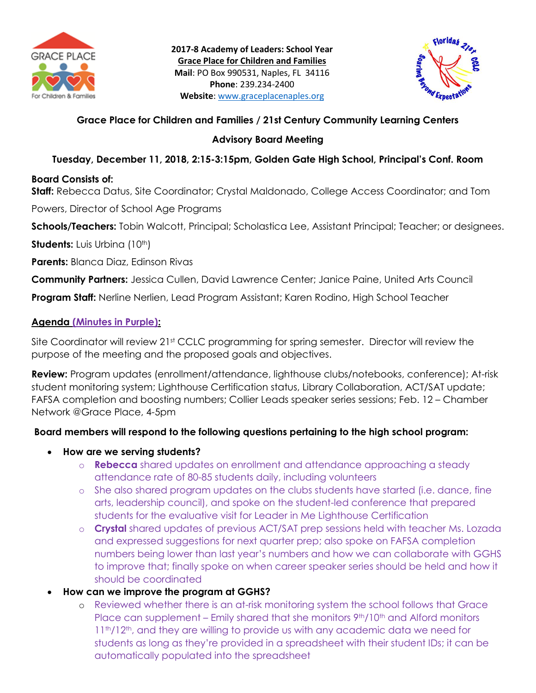



# **Grace Place for Children and Families / 21st Century Community Learning Centers**

### **Advisory Board Meeting**

# **Tuesday, December 11, 2018, 2:15-3:15pm, Golden Gate High School, Principal's Conf. Room**

### **Board Consists of:**

**Staff:** Rebecca Datus, Site Coordinator; Crystal Maldonado, College Access Coordinator; and Tom

Powers, Director of School Age Programs

**Schools/Teachers:** Tobin Walcott, Principal; Scholastica Lee, Assistant Principal; Teacher; or designees.

**Students:** Luis Urbina (10<sup>th</sup>)

**Parents:** Blanca Diaz, Edinson Rivas

**Community Partners:** Jessica Cullen, David Lawrence Center; Janice Paine, United Arts Council

**Program Staff:** Nerline Nerlien, Lead Program Assistant; Karen Rodino, High School Teacher

### **Agenda (Minutes in Purple):**

Site Coordinator will review 21<sup>st</sup> CCLC programming for spring semester. Director will review the purpose of the meeting and the proposed goals and objectives.

**Review:** Program updates (enrollment/attendance, lighthouse clubs/notebooks, conference); At-risk student monitoring system; Lighthouse Certification status, Library Collaboration, ACT/SAT update; FAFSA completion and boosting numbers; Collier Leads speaker series sessions; Feb. 12 – Chamber Network @Grace Place, 4-5pm

### **Board members will respond to the following questions pertaining to the high school program:**

- **How are we serving students?**
	- o **Rebecca** shared updates on enrollment and attendance approaching a steady attendance rate of 80-85 students daily, including volunteers
	- o She also shared program updates on the clubs students have started (i.e. dance, fine arts, leadership council), and spoke on the student-led conference that prepared students for the evaluative visit for Leader in Me Lighthouse Certification
	- o **Crystal** shared updates of previous ACT/SAT prep sessions held with teacher Ms. Lozada and expressed suggestions for next quarter prep; also spoke on FAFSA completion numbers being lower than last year's numbers and how we can collaborate with GGHS to improve that; finally spoke on when career speaker series should be held and how it should be coordinated
- **How can we improve the program at GGHS?**
	- o Reviewed whether there is an at-risk monitoring system the school follows that Grace Place can supplement – Emily shared that she monitors  $9<sup>th</sup>/10<sup>th</sup>$  and Alford monitors 11<sup>th</sup>/12<sup>th</sup>, and they are willing to provide us with any academic data we need for students as long as they're provided in a spreadsheet with their student IDs; it can be automatically populated into the spreadsheet